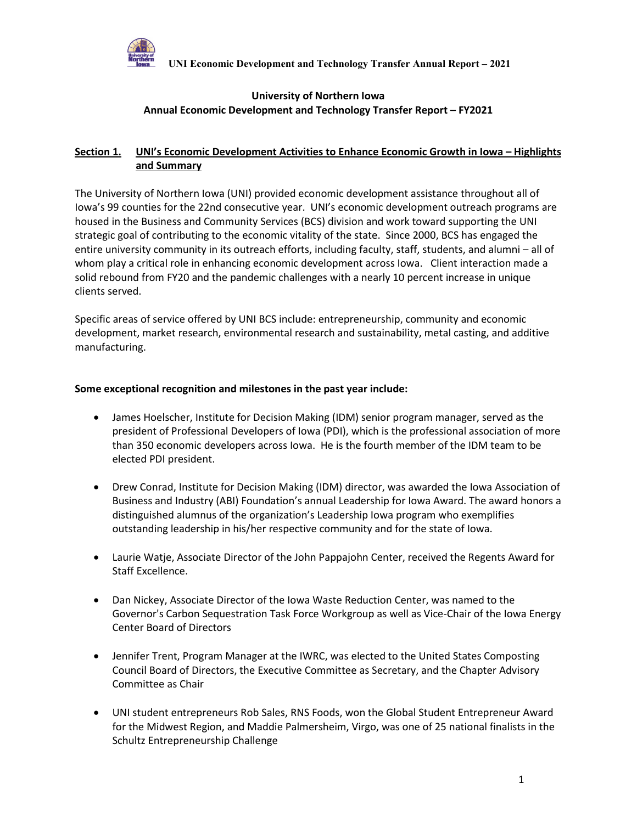

### **University of Northern Iowa Annual Economic Development and Technology Transfer Report – FY2021**

### **Section 1. UNI's Economic Development Activities to Enhance Economic Growth in Iowa – Highlights and Summary**

The University of Northern Iowa (UNI) provided economic development assistance throughout all of Iowa's 99 counties for the 22nd consecutive year. UNI's economic development outreach programs are housed in the Business and Community Services (BCS) division and work toward supporting the UNI strategic goal of contributing to the economic vitality of the state. Since 2000, BCS has engaged the entire university community in its outreach efforts, including faculty, staff, students, and alumni – all of whom play a critical role in enhancing economic development across Iowa. Client interaction made a solid rebound from FY20 and the pandemic challenges with a nearly 10 percent increase in unique clients served.

Specific areas of service offered by UNI BCS include: entrepreneurship, community and economic development, market research, environmental research and sustainability, metal casting, and additive manufacturing.

#### **Some exceptional recognition and milestones in the past year include:**

- James Hoelscher, Institute for Decision Making (IDM) senior program manager, served as the president of Professional Developers of Iowa (PDI), which is the professional association of more than 350 economic developers across Iowa. He is the fourth member of the IDM team to be elected PDI president.
- Drew Conrad, Institute for Decision Making (IDM) director, was awarded the Iowa Association of Business and Industry (ABI) Foundation's annual Leadership for Iowa Award. The award honors a distinguished alumnus of the organization's Leadership Iowa program who exemplifies outstanding leadership in his/her respective community and for the state of Iowa.
- Laurie Watje, Associate Director of the John Pappajohn Center, received the Regents Award for Staff Excellence.
- Dan Nickey, Associate Director of the Iowa Waste Reduction Center, was named to the Governor's Carbon Sequestration Task Force Workgroup as well as Vice-Chair of the Iowa Energy Center Board of Directors
- Jennifer Trent, Program Manager at the IWRC, was elected to the United States Composting Council Board of Directors, the Executive Committee as Secretary, and the Chapter Advisory Committee as Chair
- UNI student entrepreneurs Rob Sales, RNS Foods, won the Global Student Entrepreneur Award for the Midwest Region, and Maddie Palmersheim, Virgo, was one of 25 national finalists in the Schultz Entrepreneurship Challenge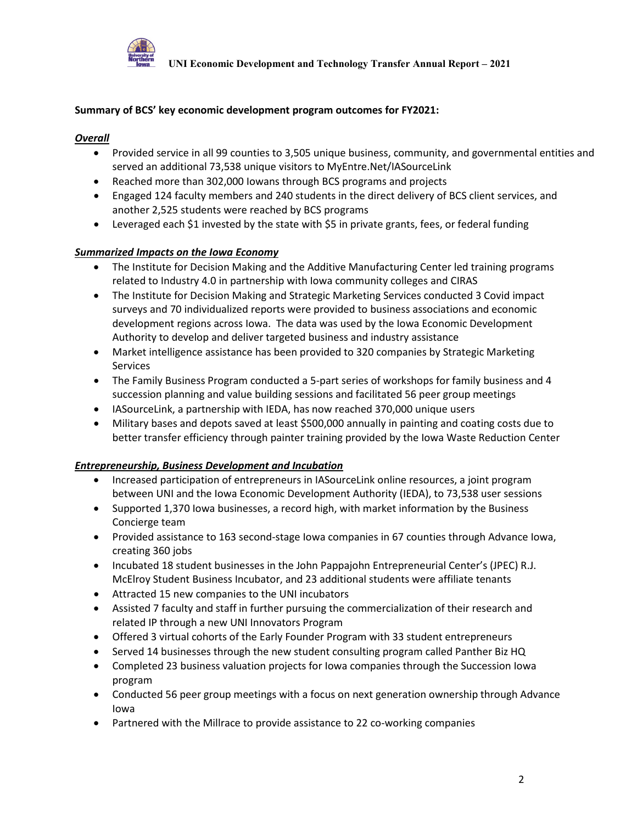

#### **Summary of BCS' key economic development program outcomes for FY2021:**

#### *Overall*

- Provided service in all 99 counties to 3,505 unique business, community, and governmental entities and served an additional 73,538 unique visitors to MyEntre.Net/IASourceLink
- Reached more than 302,000 Iowans through BCS programs and projects
- Engaged 124 faculty members and 240 students in the direct delivery of BCS client services, and another 2,525 students were reached by BCS programs
- Leveraged each \$1 invested by the state with \$5 in private grants, fees, or federal funding

#### *Summarized Impacts on the Iowa Economy*

- The Institute for Decision Making and the Additive Manufacturing Center led training programs related to Industry 4.0 in partnership with Iowa community colleges and CIRAS
- The Institute for Decision Making and Strategic Marketing Services conducted 3 Covid impact surveys and 70 individualized reports were provided to business associations and economic development regions across Iowa. The data was used by the Iowa Economic Development Authority to develop and deliver targeted business and industry assistance
- Market intelligence assistance has been provided to 320 companies by Strategic Marketing Services
- The Family Business Program conducted a 5-part series of workshops for family business and 4 succession planning and value building sessions and facilitated 56 peer group meetings
- IASourceLink, a partnership with IEDA, has now reached 370,000 unique users
- Military bases and depots saved at least \$500,000 annually in painting and coating costs due to better transfer efficiency through painter training provided by the Iowa Waste Reduction Center

#### *Entrepreneurship, Business Development and Incubation*

- Increased participation of entrepreneurs in IASourceLink online resources, a joint program between UNI and the Iowa Economic Development Authority (IEDA), to 73,538 user sessions
- Supported 1,370 Iowa businesses, a record high, with market information by the Business Concierge team
- Provided assistance to 163 second-stage Iowa companies in 67 counties through Advance Iowa, creating 360 jobs
- Incubated 18 student businesses in the John Pappajohn Entrepreneurial Center's (JPEC) R.J. McElroy Student Business Incubator, and 23 additional students were affiliate tenants
- Attracted 15 new companies to the UNI incubators
- Assisted 7 faculty and staff in further pursuing the commercialization of their research and related IP through a new UNI Innovators Program
- Offered 3 virtual cohorts of the Early Founder Program with 33 student entrepreneurs
- Served 14 businesses through the new student consulting program called Panther Biz HQ
- Completed 23 business valuation projects for Iowa companies through the Succession Iowa program
- Conducted 56 peer group meetings with a focus on next generation ownership through Advance Iowa
- Partnered with the Millrace to provide assistance to 22 co-working companies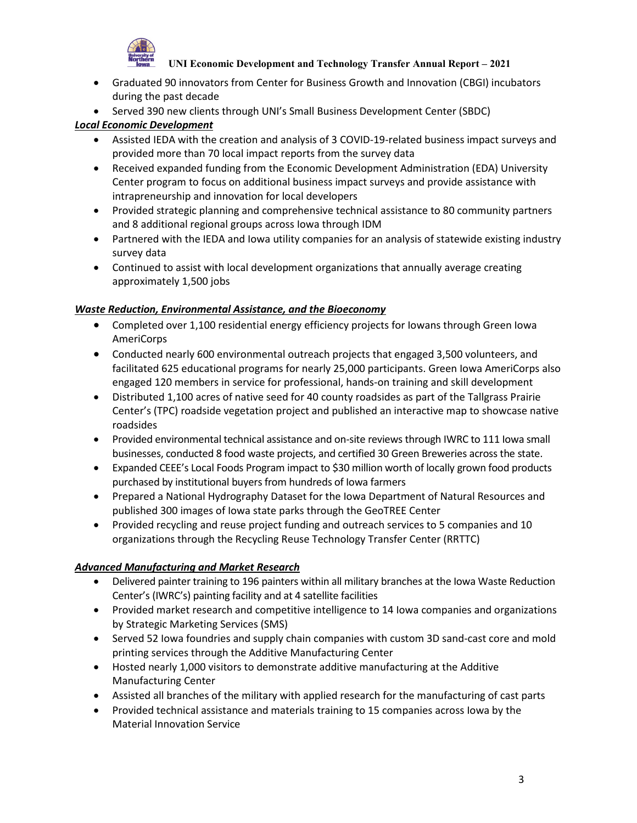

- Graduated 90 innovators from Center for Business Growth and Innovation (CBGI) incubators during the past decade
- Served 390 new clients through UNI's Small Business Development Center (SBDC)

### *Local Economic Development*

- Assisted IEDA with the creation and analysis of 3 COVID-19-related business impact surveys and provided more than 70 local impact reports from the survey data
- Received expanded funding from the Economic Development Administration (EDA) University Center program to focus on additional business impact surveys and provide assistance with intrapreneurship and innovation for local developers
- Provided strategic planning and comprehensive technical assistance to 80 community partners and 8 additional regional groups across Iowa through IDM
- Partnered with the IEDA and Iowa utility companies for an analysis of statewide existing industry survey data
- Continued to assist with local development organizations that annually average creating approximately 1,500 jobs

### *Waste Reduction, Environmental Assistance, and the Bioeconomy*

- Completed over 1,100 residential energy efficiency projects for Iowans through Green Iowa AmeriCorps
- Conducted nearly 600 environmental outreach projects that engaged 3,500 volunteers, and facilitated 625 educational programs for nearly 25,000 participants. Green Iowa AmeriCorps also engaged 120 members in service for professional, hands-on training and skill development
- Distributed 1,100 acres of native seed for 40 county roadsides as part of the Tallgrass Prairie Center's (TPC) roadside vegetation project and published an interactive map to showcase native roadsides
- Provided environmental technical assistance and on-site reviews through IWRC to 111 Iowa small businesses, conducted 8 food waste projects, and certified 30 Green Breweries across the state.
- Expanded CEEE's Local Foods Program impact to \$30 million worth of locally grown food products purchased by institutional buyers from hundreds of Iowa farmers
- Prepared a National Hydrography Dataset for the Iowa Department of Natural Resources and published 300 images of Iowa state parks through the GeoTREE Center
- Provided recycling and reuse project funding and outreach services to 5 companies and 10 organizations through the Recycling Reuse Technology Transfer Center (RRTTC)

### *Advanced Manufacturing and Market Research*

- Delivered painter training to 196 painters within all military branches at the Iowa Waste Reduction Center's (IWRC's) painting facility and at 4 satellite facilities
- Provided market research and competitive intelligence to 14 Iowa companies and organizations by Strategic Marketing Services (SMS)
- Served 52 Iowa foundries and supply chain companies with custom 3D sand-cast core and mold printing services through the Additive Manufacturing Center
- Hosted nearly 1,000 visitors to demonstrate additive manufacturing at the Additive Manufacturing Center
- Assisted all branches of the military with applied research for the manufacturing of cast parts
- Provided technical assistance and materials training to 15 companies across Iowa by the Material Innovation Service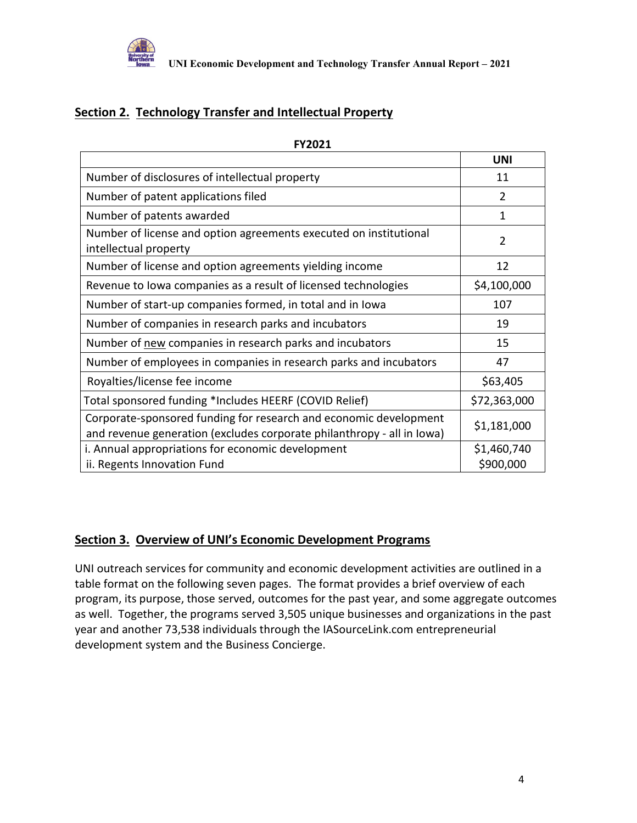

# **Section 2. Technology Transfer and Intellectual Property**

|                                                                                                                                             | UNI                      |
|---------------------------------------------------------------------------------------------------------------------------------------------|--------------------------|
| Number of disclosures of intellectual property                                                                                              | 11                       |
| Number of patent applications filed                                                                                                         | $\overline{2}$           |
| Number of patents awarded                                                                                                                   | 1                        |
| Number of license and option agreements executed on institutional<br>intellectual property                                                  | $\overline{2}$           |
| Number of license and option agreements yielding income                                                                                     | 12                       |
| Revenue to Iowa companies as a result of licensed technologies                                                                              | \$4,100,000              |
| Number of start-up companies formed, in total and in Iowa                                                                                   | 107                      |
| Number of companies in research parks and incubators                                                                                        | 19                       |
| Number of new companies in research parks and incubators                                                                                    | 15                       |
| Number of employees in companies in research parks and incubators                                                                           | 47                       |
| Royalties/license fee income                                                                                                                | \$63,405                 |
| Total sponsored funding *Includes HEERF (COVID Relief)                                                                                      | \$72,363,000             |
| Corporate-sponsored funding for research and economic development<br>and revenue generation (excludes corporate philanthropy - all in lowa) | \$1,181,000              |
| i. Annual appropriations for economic development<br>ii. Regents Innovation Fund                                                            | \$1,460,740<br>\$900,000 |

**FY2021**

# **Section 3. Overview of UNI's Economic Development Programs**

UNI outreach services for community and economic development activities are outlined in a table format on the following seven pages. The format provides a brief overview of each program, its purpose, those served, outcomes for the past year, and some aggregate outcomes as well. Together, the programs served 3,505 unique businesses and organizations in the past year and another 73,538 individuals through the IASourceLink.com entrepreneurial development system and the Business Concierge.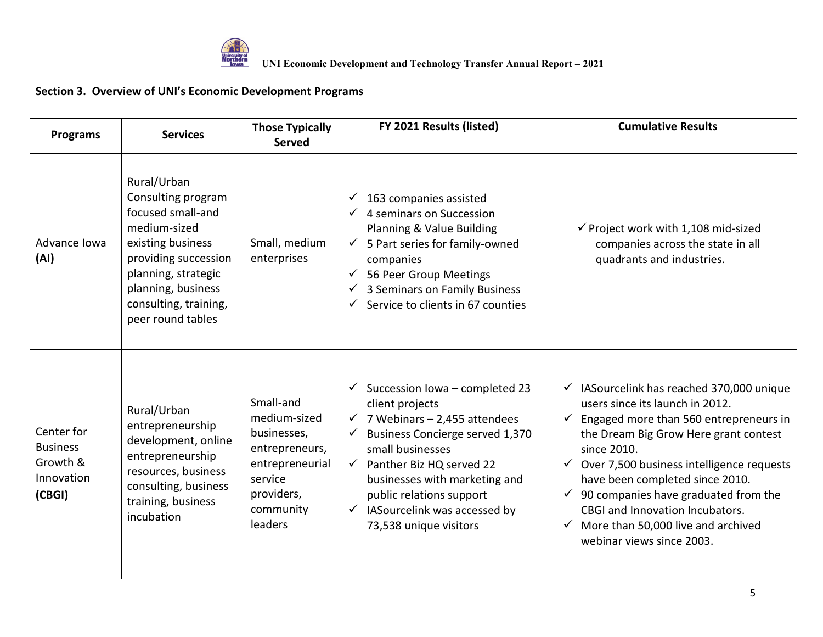

| <b>Programs</b>                                                   | <b>Services</b>                                                                                                                                                                                                | <b>Those Typically</b><br><b>Served</b>                                                                                        | FY 2021 Results (listed)                                                                                                                                                                                                                                                                                                                                | <b>Cumulative Results</b>                                                                                                                                                                                                                                                                                                                                                                                                  |
|-------------------------------------------------------------------|----------------------------------------------------------------------------------------------------------------------------------------------------------------------------------------------------------------|--------------------------------------------------------------------------------------------------------------------------------|---------------------------------------------------------------------------------------------------------------------------------------------------------------------------------------------------------------------------------------------------------------------------------------------------------------------------------------------------------|----------------------------------------------------------------------------------------------------------------------------------------------------------------------------------------------------------------------------------------------------------------------------------------------------------------------------------------------------------------------------------------------------------------------------|
| Advance Iowa<br>(AI)                                              | Rural/Urban<br>Consulting program<br>focused small-and<br>medium-sized<br>existing business<br>providing succession<br>planning, strategic<br>planning, business<br>consulting, training,<br>peer round tables | Small, medium<br>enterprises                                                                                                   | 163 companies assisted<br>✓<br>4 seminars on Succession<br>Planning & Value Building<br>$\checkmark$ 5 Part series for family-owned<br>companies<br>56 Peer Group Meetings<br>✓<br>3 Seminars on Family Business<br>✓<br>Service to clients in 67 counties<br>✓                                                                                         | $\checkmark$ Project work with 1,108 mid-sized<br>companies across the state in all<br>quadrants and industries.                                                                                                                                                                                                                                                                                                           |
| Center for<br><b>Business</b><br>Growth &<br>Innovation<br>(CBGI) | Rural/Urban<br>entrepreneurship<br>development, online<br>entrepreneurship<br>resources, business<br>consulting, business<br>training, business<br>incubation                                                  | Small-and<br>medium-sized<br>businesses,<br>entrepreneurs,<br>entrepreneurial<br>service<br>providers,<br>community<br>leaders | $\checkmark$ Succession Iowa – completed 23<br>client projects<br>$\checkmark$ 7 Webinars - 2,455 attendees<br>Business Concierge served 1,370<br>✓<br>small businesses<br>$\checkmark$ Panther Biz HQ served 22<br>businesses with marketing and<br>public relations support<br>IASourcelink was accessed by<br>$\checkmark$<br>73,538 unique visitors | IASourcelink has reached 370,000 unique<br>users since its launch in 2012.<br>Engaged more than 560 entrepreneurs in<br>the Dream Big Grow Here grant contest<br>since 2010.<br>Over 7,500 business intelligence requests<br>have been completed since 2010.<br>90 companies have graduated from the<br>$\checkmark$<br>CBGI and Innovation Incubators.<br>More than 50,000 live and archived<br>webinar views since 2003. |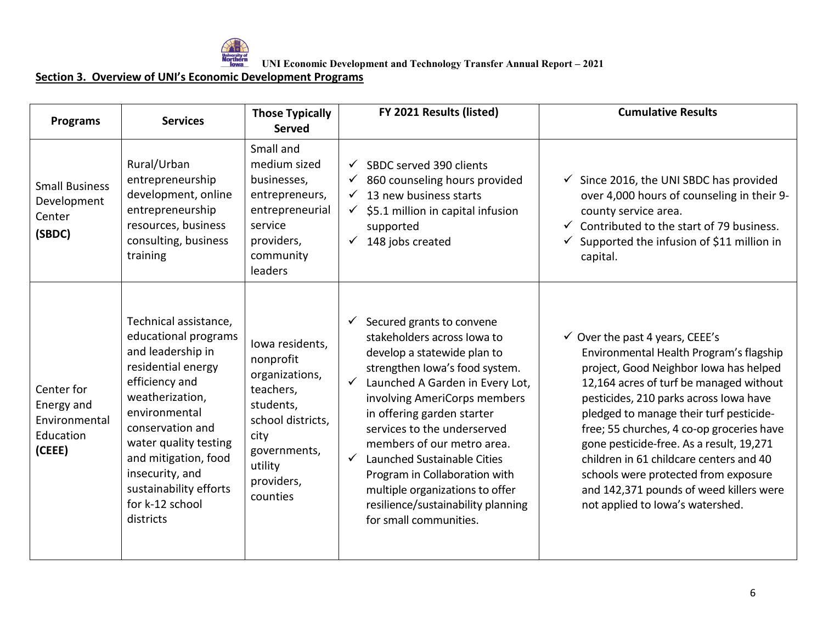

UNI Economic Development and Technology Transfer Annual Report – 2021<br>Morthern<br>Lowall UNI Economic Development and Technology Transfer Annual Report – 2021

| <b>Programs</b>                                                  | <b>Services</b>                                                                                                                                                                                                                                                                                  | <b>Those Typically</b><br><b>Served</b>                                                                                                                    | FY 2021 Results (listed)                                                                                                                                                                                                                                                                                                                                                                                                                                                        | <b>Cumulative Results</b>                                                                                                                                                                                                                                                                                                                                                                                                                                                                                                  |
|------------------------------------------------------------------|--------------------------------------------------------------------------------------------------------------------------------------------------------------------------------------------------------------------------------------------------------------------------------------------------|------------------------------------------------------------------------------------------------------------------------------------------------------------|---------------------------------------------------------------------------------------------------------------------------------------------------------------------------------------------------------------------------------------------------------------------------------------------------------------------------------------------------------------------------------------------------------------------------------------------------------------------------------|----------------------------------------------------------------------------------------------------------------------------------------------------------------------------------------------------------------------------------------------------------------------------------------------------------------------------------------------------------------------------------------------------------------------------------------------------------------------------------------------------------------------------|
| <b>Small Business</b><br>Development<br>Center<br>(SBDC)         | Rural/Urban<br>entrepreneurship<br>development, online<br>entrepreneurship<br>resources, business<br>consulting, business<br>training                                                                                                                                                            | Small and<br>medium sized<br>businesses,<br>entrepreneurs,<br>entrepreneurial<br>service<br>providers,<br>community<br>leaders                             | SBDC served 390 clients<br>$\checkmark$<br>860 counseling hours provided<br>13 new business starts<br>✓<br>\$5.1 million in capital infusion<br>$\checkmark$<br>supported<br>148 jobs created<br>✓                                                                                                                                                                                                                                                                              | Since 2016, the UNI SBDC has provided<br>over 4,000 hours of counseling in their 9-<br>county service area.<br>Contributed to the start of 79 business.<br>Supported the infusion of \$11 million in<br>capital.                                                                                                                                                                                                                                                                                                           |
| Center for<br>Energy and<br>Environmental<br>Education<br>(CEEE) | Technical assistance,<br>educational programs<br>and leadership in<br>residential energy<br>efficiency and<br>weatherization,<br>environmental<br>conservation and<br>water quality testing<br>and mitigation, food<br>insecurity, and<br>sustainability efforts<br>for k-12 school<br>districts | lowa residents,<br>nonprofit<br>organizations,<br>teachers,<br>students,<br>school districts,<br>city<br>governments,<br>utility<br>providers,<br>counties | Secured grants to convene<br>✓<br>stakeholders across lowa to<br>develop a statewide plan to<br>strengthen lowa's food system.<br>Launched A Garden in Every Lot,<br>involving AmeriCorps members<br>in offering garden starter<br>services to the underserved<br>members of our metro area.<br>$\checkmark$<br>Launched Sustainable Cities<br>Program in Collaboration with<br>multiple organizations to offer<br>resilience/sustainability planning<br>for small communities. | $\checkmark$ Over the past 4 years, CEEE's<br>Environmental Health Program's flagship<br>project, Good Neighbor Iowa has helped<br>12,164 acres of turf be managed without<br>pesticides, 210 parks across lowa have<br>pledged to manage their turf pesticide-<br>free; 55 churches, 4 co-op groceries have<br>gone pesticide-free. As a result, 19,271<br>children in 61 childcare centers and 40<br>schools were protected from exposure<br>and 142,371 pounds of weed killers were<br>not applied to lowa's watershed. |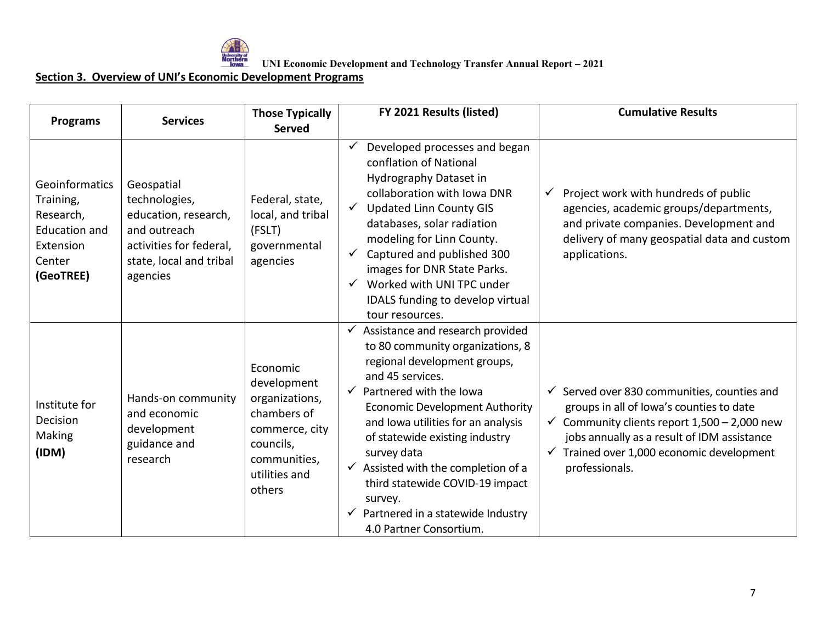

UNI Economic Development and Technology Transfer Annual Report – 2021<br>Worthern<br>Toward UNI Economic Development and Technology Transfer Annual Report – 2021

| <b>Programs</b>                                                                                      | <b>Services</b>                                                                                                                       | <b>Those Typically</b><br><b>Served</b>                                                                                            | FY 2021 Results (listed)                                                                                                                                                                                                                                                                                                                                                                                                                               | <b>Cumulative Results</b>                                                                                                                                                                                                                                                      |
|------------------------------------------------------------------------------------------------------|---------------------------------------------------------------------------------------------------------------------------------------|------------------------------------------------------------------------------------------------------------------------------------|--------------------------------------------------------------------------------------------------------------------------------------------------------------------------------------------------------------------------------------------------------------------------------------------------------------------------------------------------------------------------------------------------------------------------------------------------------|--------------------------------------------------------------------------------------------------------------------------------------------------------------------------------------------------------------------------------------------------------------------------------|
| Geoinformatics<br>Training,<br>Research,<br><b>Education and</b><br>Extension<br>Center<br>(GeoTREE) | Geospatial<br>technologies,<br>education, research,<br>and outreach<br>activities for federal,<br>state, local and tribal<br>agencies | Federal, state,<br>local, and tribal<br>(FSLT)<br>governmental<br>agencies                                                         | Developed processes and began<br>conflation of National<br>Hydrography Dataset in<br>collaboration with Iowa DNR<br>√ Updated Linn County GIS<br>databases, solar radiation<br>modeling for Linn County.<br>Captured and published 300<br>$\checkmark$<br>images for DNR State Parks.<br>Worked with UNI TPC under<br>IDALS funding to develop virtual<br>tour resources.                                                                              | Project work with hundreds of public<br>✓<br>agencies, academic groups/departments,<br>and private companies. Development and<br>delivery of many geospatial data and custom<br>applications.                                                                                  |
| Institute for<br>Decision<br>Making<br>(IDM)                                                         | Hands-on community<br>and economic<br>development<br>guidance and<br>research                                                         | Economic<br>development<br>organizations,<br>chambers of<br>commerce, city<br>councils,<br>communities,<br>utilities and<br>others | Assistance and research provided<br>to 80 community organizations, 8<br>regional development groups,<br>and 45 services.<br>Partnered with the Iowa<br>$\checkmark$<br><b>Economic Development Authority</b><br>and Iowa utilities for an analysis<br>of statewide existing industry<br>survey data<br>Assisted with the completion of a<br>third statewide COVID-19 impact<br>survey.<br>Partnered in a statewide Industry<br>4.0 Partner Consortium. | $\checkmark$ Served over 830 communities, counties and<br>groups in all of lowa's counties to date<br>$\checkmark$ Community clients report 1,500 - 2,000 new<br>jobs annually as a result of IDM assistance<br>Trained over 1,000 economic development<br>✓<br>professionals. |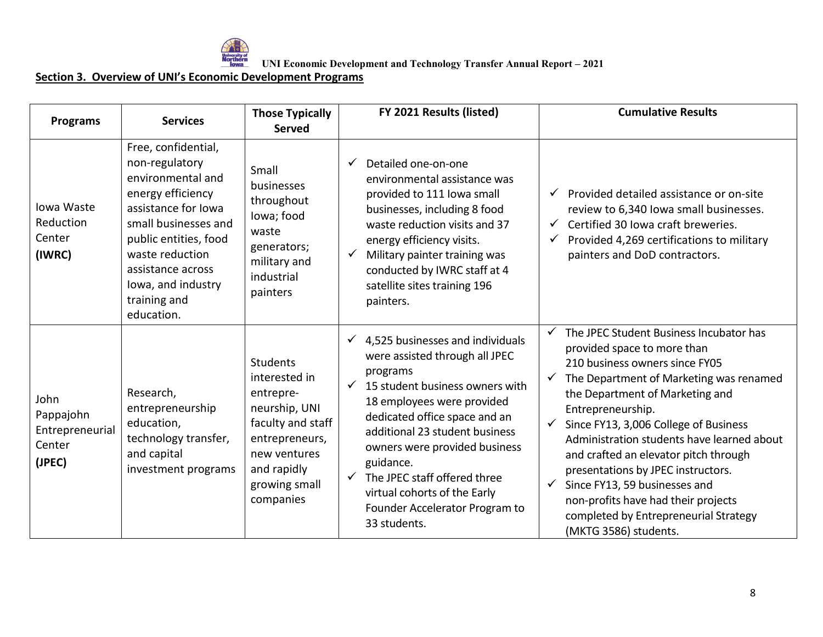

UNI Economic Development and Technology Transfer Annual Report – 2021<br>Weightern<br>Toward UNI Economic Development and Technology Transfer Annual Report – 2021

| <b>Programs</b>                                          | <b>Services</b>                                                                                                                                                                                                                                     | <b>Those Typically</b><br><b>Served</b>                                                                                                                            | FY 2021 Results (listed)                                                                                                                                                                                                                                                                                                                                                                                           | <b>Cumulative Results</b>                                                                                                                                                                                                                                                                                                                                                                                                                                                                                                                                                                   |
|----------------------------------------------------------|-----------------------------------------------------------------------------------------------------------------------------------------------------------------------------------------------------------------------------------------------------|--------------------------------------------------------------------------------------------------------------------------------------------------------------------|--------------------------------------------------------------------------------------------------------------------------------------------------------------------------------------------------------------------------------------------------------------------------------------------------------------------------------------------------------------------------------------------------------------------|---------------------------------------------------------------------------------------------------------------------------------------------------------------------------------------------------------------------------------------------------------------------------------------------------------------------------------------------------------------------------------------------------------------------------------------------------------------------------------------------------------------------------------------------------------------------------------------------|
| Iowa Waste<br>Reduction<br>Center<br>(IWRC)              | Free, confidential,<br>non-regulatory<br>environmental and<br>energy efficiency<br>assistance for Iowa<br>small businesses and<br>public entities, food<br>waste reduction<br>assistance across<br>lowa, and industry<br>training and<br>education. | Small<br>businesses<br>throughout<br>lowa; food<br>waste<br>generators;<br>military and<br>industrial<br>painters                                                  | Detailed one-on-one<br>$\checkmark$<br>environmental assistance was<br>provided to 111 lowa small<br>businesses, including 8 food<br>waste reduction visits and 37<br>energy efficiency visits.<br>Military painter training was<br>conducted by IWRC staff at 4<br>satellite sites training 196<br>painters.                                                                                                      | Provided detailed assistance or on-site<br>✓<br>review to 6,340 lowa small businesses.<br>$\checkmark$ Certified 30 Iowa craft breweries.<br>Provided 4,269 certifications to military<br>painters and DoD contractors.                                                                                                                                                                                                                                                                                                                                                                     |
| John<br>Pappajohn<br>Entrepreneurial<br>Center<br>(JPEC) | Research,<br>entrepreneurship<br>education,<br>technology transfer,<br>and capital<br>investment programs                                                                                                                                           | <b>Students</b><br>interested in<br>entrepre-<br>neurship, UNI<br>faculty and staff<br>entrepreneurs,<br>new ventures<br>and rapidly<br>growing small<br>companies | 4,525 businesses and individuals<br>$\checkmark$<br>were assisted through all JPEC<br>programs<br>15 student business owners with<br>$\checkmark$<br>18 employees were provided<br>dedicated office space and an<br>additional 23 student business<br>owners were provided business<br>guidance.<br>The JPEC staff offered three<br>virtual cohorts of the Early<br>Founder Accelerator Program to<br>33 students. | The JPEC Student Business Incubator has<br>$\checkmark$<br>provided space to more than<br>210 business owners since FY05<br>The Department of Marketing was renamed<br>$\checkmark$<br>the Department of Marketing and<br>Entrepreneurship.<br>Since FY13, 3,006 College of Business<br>$\checkmark$<br>Administration students have learned about<br>and crafted an elevator pitch through<br>presentations by JPEC instructors.<br>Since FY13, 59 businesses and<br>$\checkmark$<br>non-profits have had their projects<br>completed by Entrepreneurial Strategy<br>(MKTG 3586) students. |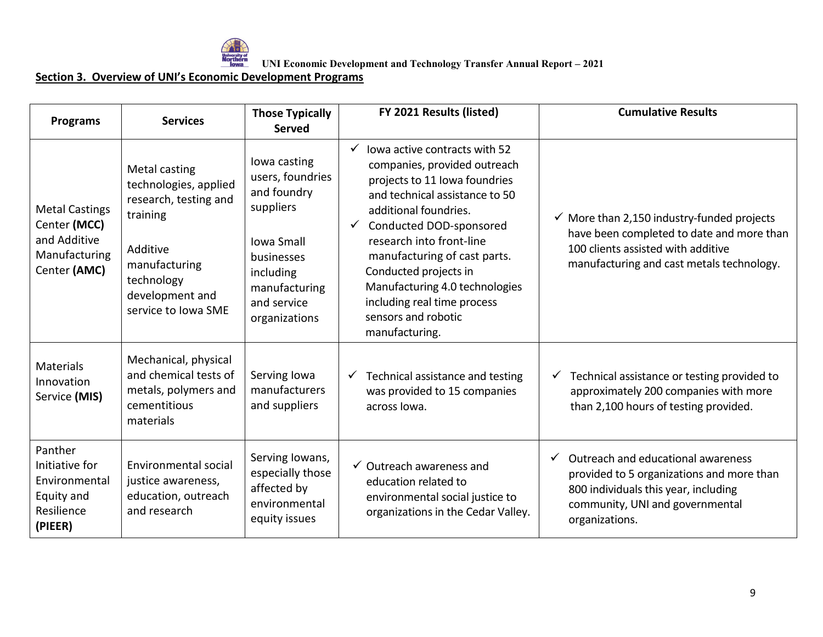

UNI Economic Development and Technology Transfer Annual Report – 2021<br>Weightern<br>Toward UNI Economic Development and Technology Transfer Annual Report – 2021

| <b>Programs</b>                                                                        | <b>Services</b>                                                                                                                                                  | <b>Those Typically</b><br><b>Served</b>                                                                                                                       | FY 2021 Results (listed)                                                                                                                                                                                                                                                                                                                                                            | <b>Cumulative Results</b>                                                                                                                                                             |
|----------------------------------------------------------------------------------------|------------------------------------------------------------------------------------------------------------------------------------------------------------------|---------------------------------------------------------------------------------------------------------------------------------------------------------------|-------------------------------------------------------------------------------------------------------------------------------------------------------------------------------------------------------------------------------------------------------------------------------------------------------------------------------------------------------------------------------------|---------------------------------------------------------------------------------------------------------------------------------------------------------------------------------------|
| <b>Metal Castings</b><br>Center (MCC)<br>and Additive<br>Manufacturing<br>Center (AMC) | Metal casting<br>technologies, applied<br>research, testing and<br>training<br>Additive<br>manufacturing<br>technology<br>development and<br>service to Iowa SME | lowa casting<br>users, foundries<br>and foundry<br>suppliers<br><b>Iowa Small</b><br>businesses<br>including<br>manufacturing<br>and service<br>organizations | lowa active contracts with 52<br>companies, provided outreach<br>projects to 11 lowa foundries<br>and technical assistance to 50<br>additional foundries.<br>Conducted DOD-sponsored<br>research into front-line<br>manufacturing of cast parts.<br>Conducted projects in<br>Manufacturing 4.0 technologies<br>including real time process<br>sensors and robotic<br>manufacturing. | $\checkmark$ More than 2,150 industry-funded projects<br>have been completed to date and more than<br>100 clients assisted with additive<br>manufacturing and cast metals technology. |
| <b>Materials</b><br>Innovation<br>Service (MIS)                                        | Mechanical, physical<br>and chemical tests of<br>metals, polymers and<br>cementitious<br>materials                                                               | Serving Iowa<br>manufacturers<br>and suppliers                                                                                                                | Technical assistance and testing<br>$\checkmark$<br>was provided to 15 companies<br>across lowa.                                                                                                                                                                                                                                                                                    | Technical assistance or testing provided to<br>approximately 200 companies with more<br>than 2,100 hours of testing provided.                                                         |
| Panther<br>Initiative for<br>Environmental<br>Equity and<br>Resilience<br>(PIEER)      | Environmental social<br>justice awareness,<br>education, outreach<br>and research                                                                                | Serving Iowans,<br>especially those<br>affected by<br>environmental<br>equity issues                                                                          | $\checkmark$ Outreach awareness and<br>education related to<br>environmental social justice to<br>organizations in the Cedar Valley.                                                                                                                                                                                                                                                | Outreach and educational awareness<br>provided to 5 organizations and more than<br>800 individuals this year, including<br>community, UNI and governmental<br>organizations.          |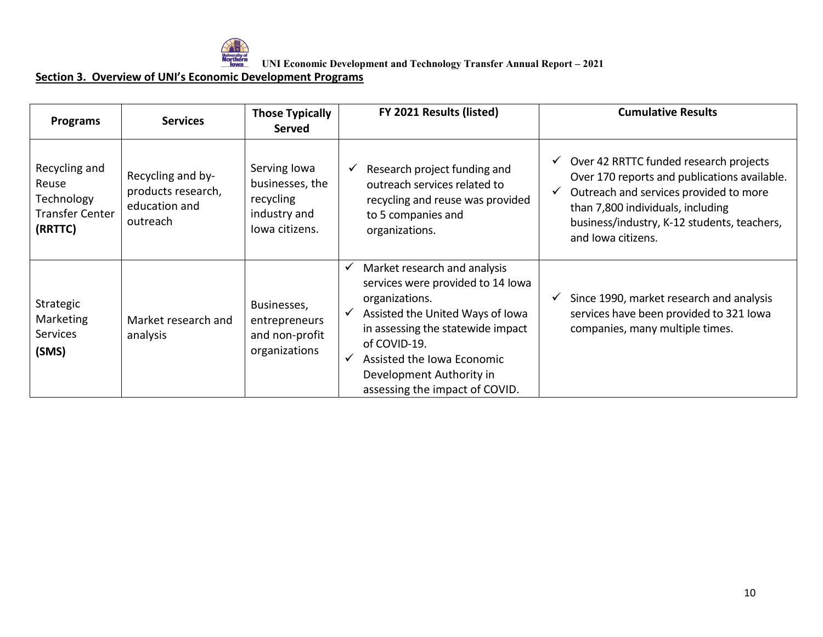

UNI Economic Development and Technology Transfer Annual Report – 2021<br>Weightern<br>Toward UNI Economic Development and Technology Transfer Annual Report – 2021

| <b>Programs</b>                                                           | <b>Services</b>                                                      | <b>Those Typically</b><br>Served                                               | FY 2021 Results (listed)                                                                                                                                                                                                                                                                                 | <b>Cumulative Results</b>                                                                                                                                                                                                                                  |
|---------------------------------------------------------------------------|----------------------------------------------------------------------|--------------------------------------------------------------------------------|----------------------------------------------------------------------------------------------------------------------------------------------------------------------------------------------------------------------------------------------------------------------------------------------------------|------------------------------------------------------------------------------------------------------------------------------------------------------------------------------------------------------------------------------------------------------------|
| Recycling and<br>Reuse<br>Technology<br><b>Transfer Center</b><br>(RRTTC) | Recycling and by-<br>products research,<br>education and<br>outreach | Serving Iowa<br>businesses, the<br>recycling<br>industry and<br>lowa citizens. | Research project funding and<br>✓<br>outreach services related to<br>recycling and reuse was provided<br>to 5 companies and<br>organizations.                                                                                                                                                            | Over 42 RRTTC funded research projects<br>$\checkmark$<br>Over 170 reports and publications available.<br>Outreach and services provided to more<br>than 7,800 individuals, including<br>business/industry, K-12 students, teachers,<br>and lowa citizens. |
| Strategic<br>Marketing<br>Services<br>(SMS)                               | Market research and<br>analysis                                      | Businesses,<br>entrepreneurs<br>and non-profit<br>organizations                | Market research and analysis<br>$\checkmark$<br>services were provided to 14 lowa<br>organizations.<br>Assisted the United Ways of Iowa<br>$\checkmark$<br>in assessing the statewide impact<br>of COVID-19.<br>Assisted the Iowa Economic<br>Development Authority in<br>assessing the impact of COVID. | Since 1990, market research and analysis<br>services have been provided to 321 lowa<br>companies, many multiple times.                                                                                                                                     |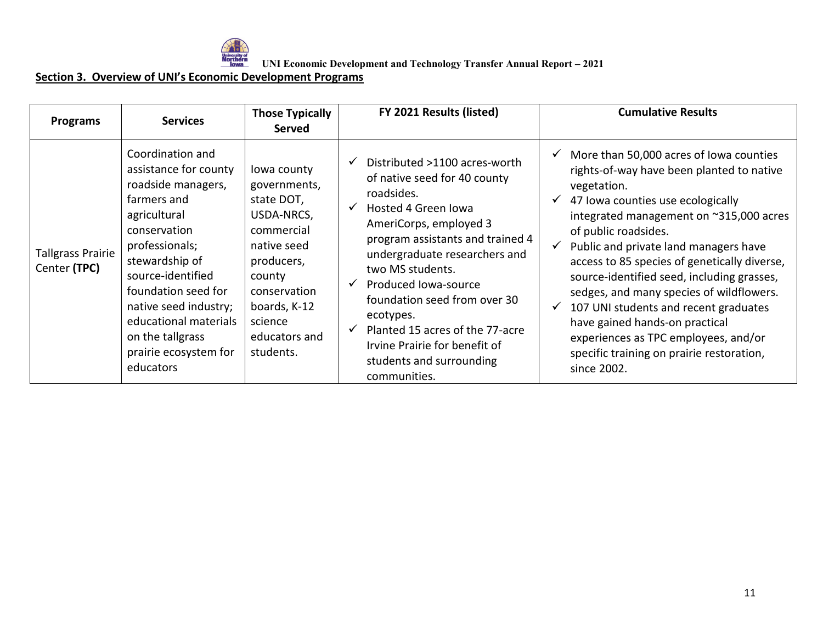

UNI Economic Development and Technology Transfer Annual Report – 2021<br>Waveful and UNI Economic Development and Technology Transfer Annual Report – 2021

| <b>Programs</b>                          | <b>Services</b>                                                                                                                                                                                                                                                                                            | <b>Those Typically</b><br><b>Served</b>                                                                                                                                               | FY 2021 Results (listed)                                                                                                                                                                                                                                                                                                                                                                                                                        | <b>Cumulative Results</b>                                                                                                                                                                                                                                                                                                                                                                                                                                                                                                                                                     |
|------------------------------------------|------------------------------------------------------------------------------------------------------------------------------------------------------------------------------------------------------------------------------------------------------------------------------------------------------------|---------------------------------------------------------------------------------------------------------------------------------------------------------------------------------------|-------------------------------------------------------------------------------------------------------------------------------------------------------------------------------------------------------------------------------------------------------------------------------------------------------------------------------------------------------------------------------------------------------------------------------------------------|-------------------------------------------------------------------------------------------------------------------------------------------------------------------------------------------------------------------------------------------------------------------------------------------------------------------------------------------------------------------------------------------------------------------------------------------------------------------------------------------------------------------------------------------------------------------------------|
| <b>Tallgrass Prairie</b><br>Center (TPC) | Coordination and<br>assistance for county<br>roadside managers,<br>farmers and<br>agricultural<br>conservation<br>professionals;<br>stewardship of<br>source-identified<br>foundation seed for<br>native seed industry;<br>educational materials<br>on the tallgrass<br>prairie ecosystem for<br>educators | lowa county<br>governments,<br>state DOT,<br>USDA-NRCS,<br>commercial<br>native seed<br>producers,<br>county<br>conservation<br>boards, K-12<br>science<br>educators and<br>students. | Distributed >1100 acres-worth<br>$\checkmark$<br>of native seed for 40 county<br>roadsides.<br>Hosted 4 Green Iowa<br>$\checkmark$<br>AmeriCorps, employed 3<br>program assistants and trained 4<br>undergraduate researchers and<br>two MS students.<br>Produced Iowa-source<br>✓<br>foundation seed from over 30<br>ecotypes.<br>Planted 15 acres of the 77-acre<br>Irvine Prairie for benefit of<br>students and surrounding<br>communities. | More than 50,000 acres of Iowa counties<br>rights-of-way have been planted to native<br>vegetation.<br>47 Iowa counties use ecologically<br>integrated management on ~315,000 acres<br>of public roadsides.<br>Public and private land managers have<br>access to 85 species of genetically diverse,<br>source-identified seed, including grasses,<br>sedges, and many species of wildflowers.<br>107 UNI students and recent graduates<br>have gained hands-on practical<br>experiences as TPC employees, and/or<br>specific training on prairie restoration,<br>since 2002. |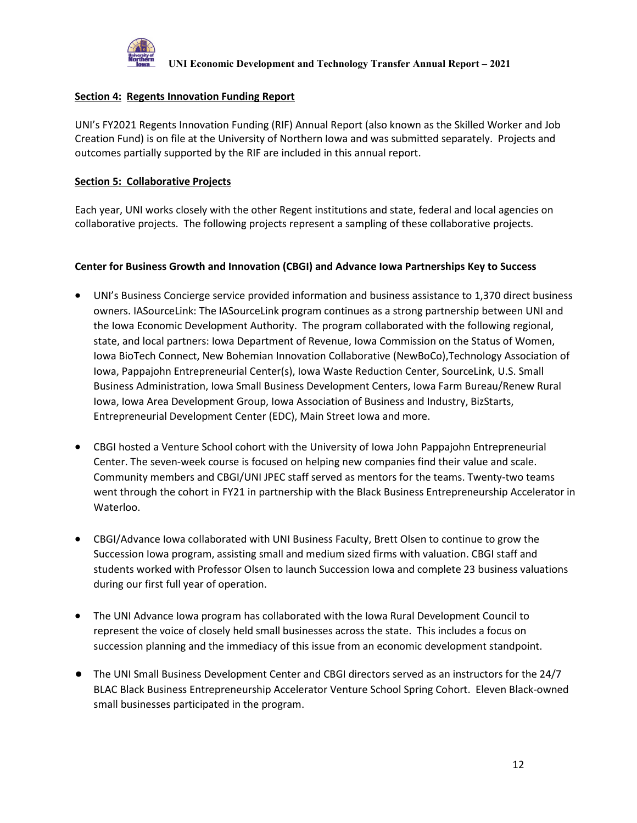

### **Section 4: Regents Innovation Funding Report**

UNI's FY2021 Regents Innovation Funding (RIF) Annual Report (also known as the Skilled Worker and Job Creation Fund) is on file at the University of Northern Iowa and was submitted separately. Projects and outcomes partially supported by the RIF are included in this annual report.

#### **Section 5: Collaborative Projects**

Each year, UNI works closely with the other Regent institutions and state, federal and local agencies on collaborative projects. The following projects represent a sampling of these collaborative projects.

#### **Center for Business Growth and Innovation (CBGI) and Advance Iowa Partnerships Key to Success**

- UNI's Business Concierge service provided information and business assistance to 1,370 direct business owners. IASourceLink: The IASourceLink program continues as a strong partnership between UNI and the Iowa Economic Development Authority. The program collaborated with the following regional, state, and local partners: Iowa Department of Revenue, Iowa Commission on the Status of Women, Iowa BioTech Connect, New Bohemian Innovation Collaborative (NewBoCo),Technology Association of Iowa, Pappajohn Entrepreneurial Center(s), Iowa Waste Reduction Center, SourceLink, U.S. Small Business Administration, Iowa Small Business Development Centers, Iowa Farm Bureau/Renew Rural Iowa, Iowa Area Development Group, Iowa Association of Business and Industry, BizStarts, Entrepreneurial Development Center (EDC), Main Street Iowa and more.
- CBGI hosted a Venture School cohort with the University of Iowa John Pappajohn Entrepreneurial Center. The seven-week course is focused on helping new companies find their value and scale. Community members and CBGI/UNI JPEC staff served as mentors for the teams. Twenty-two teams went through the cohort in FY21 in partnership with the Black Business Entrepreneurship Accelerator in Waterloo.
- CBGI/Advance Iowa collaborated with UNI Business Faculty, Brett Olsen to continue to grow the Succession Iowa program, assisting small and medium sized firms with valuation. CBGI staff and students worked with Professor Olsen to launch Succession Iowa and complete 23 business valuations during our first full year of operation.
- The UNI Advance Iowa program has collaborated with the Iowa Rural Development Council to represent the voice of closely held small businesses across the state. This includes a focus on succession planning and the immediacy of this issue from an economic development standpoint.
- The UNI Small Business Development Center and CBGI directors served as an instructors for the 24/7 BLAC Black Business Entrepreneurship Accelerator Venture School Spring Cohort. Eleven Black-owned small businesses participated in the program.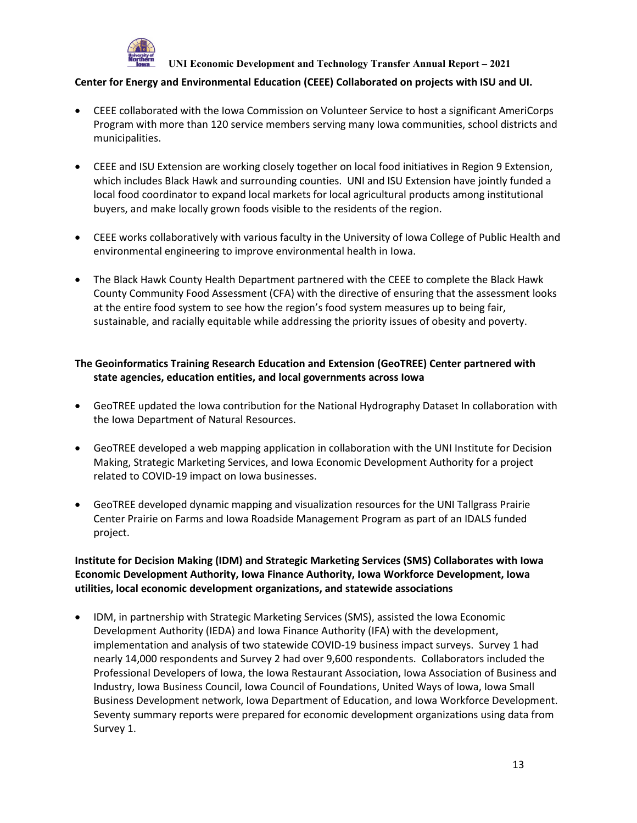

#### **Center for Energy and Environmental Education (CEEE) Collaborated on projects with ISU and UI.**

- CEEE collaborated with the Iowa Commission on Volunteer Service to host a significant AmeriCorps Program with more than 120 service members serving many Iowa communities, school districts and municipalities.
- CEEE and ISU Extension are working closely together on local food initiatives in Region 9 Extension, which includes Black Hawk and surrounding counties. UNI and ISU Extension have jointly funded a local food coordinator to expand local markets for local agricultural products among institutional buyers, and make locally grown foods visible to the residents of the region.
- CEEE works collaboratively with various faculty in the University of Iowa College of Public Health and environmental engineering to improve environmental health in Iowa.
- The Black Hawk County Health Department partnered with the CEEE to complete the Black Hawk County Community Food Assessment (CFA) with the directive of ensuring that the assessment looks at the entire food system to see how the region's food system measures up to being fair, sustainable, and racially equitable while addressing the priority issues of obesity and poverty.

### **The Geoinformatics Training Research Education and Extension (GeoTREE) Center partnered with state agencies, education entities, and local governments across Iowa**

- GeoTREE updated the Iowa contribution for the National Hydrography Dataset In collaboration with the Iowa Department of Natural Resources.
- GeoTREE developed a web mapping application in collaboration with the UNI Institute for Decision Making, Strategic Marketing Services, and Iowa Economic Development Authority for a project related to COVID-19 impact on Iowa businesses.
- GeoTREE developed dynamic mapping and visualization resources for the UNI Tallgrass Prairie Center Prairie on Farms and Iowa Roadside Management Program as part of an IDALS funded project.

### **Institute for Decision Making (IDM) and Strategic Marketing Services (SMS) Collaborates with Iowa Economic Development Authority, Iowa Finance Authority, Iowa Workforce Development, Iowa utilities, local economic development organizations, and statewide associations**

• IDM, in partnership with Strategic Marketing Services (SMS), assisted the Iowa Economic Development Authority (IEDA) and Iowa Finance Authority (IFA) with the development, implementation and analysis of two statewide COVID-19 business impact surveys. Survey 1 had nearly 14,000 respondents and Survey 2 had over 9,600 respondents. Collaborators included the Professional Developers of Iowa, the Iowa Restaurant Association, Iowa Association of Business and Industry, Iowa Business Council, Iowa Council of Foundations, United Ways of Iowa, Iowa Small Business Development network, Iowa Department of Education, and Iowa Workforce Development. Seventy summary reports were prepared for economic development organizations using data from Survey 1.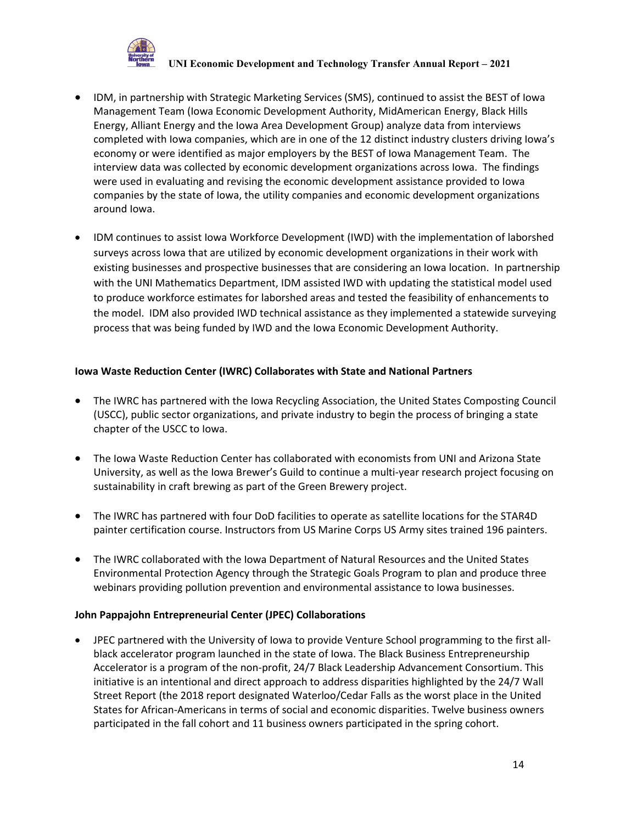

- IDM, in partnership with Strategic Marketing Services (SMS), continued to assist the BEST of Iowa Management Team (Iowa Economic Development Authority, MidAmerican Energy, Black Hills Energy, Alliant Energy and the Iowa Area Development Group) analyze data from interviews completed with Iowa companies, which are in one of the 12 distinct industry clusters driving Iowa's economy or were identified as major employers by the BEST of Iowa Management Team. The interview data was collected by economic development organizations across Iowa. The findings were used in evaluating and revising the economic development assistance provided to Iowa companies by the state of Iowa, the utility companies and economic development organizations around Iowa.
- IDM continues to assist Iowa Workforce Development (IWD) with the implementation of laborshed surveys across Iowa that are utilized by economic development organizations in their work with existing businesses and prospective businesses that are considering an Iowa location. In partnership with the UNI Mathematics Department, IDM assisted IWD with updating the statistical model used to produce workforce estimates for laborshed areas and tested the feasibility of enhancements to the model. IDM also provided IWD technical assistance as they implemented a statewide surveying process that was being funded by IWD and the Iowa Economic Development Authority.

### **Iowa Waste Reduction Center (IWRC) Collaborates with State and National Partners**

- The IWRC has partnered with the Iowa Recycling Association, the United States Composting Council (USCC), public sector organizations, and private industry to begin the process of bringing a state chapter of the USCC to Iowa.
- The Iowa Waste Reduction Center has collaborated with economists from UNI and Arizona State University, as well as the Iowa Brewer's Guild to continue a multi-year research project focusing on sustainability in craft brewing as part of the Green Brewery project.
- The IWRC has partnered with four DoD facilities to operate as satellite locations for the STAR4D painter certification course. Instructors from US Marine Corps US Army sites trained 196 painters.
- The IWRC collaborated with the Iowa Department of Natural Resources and the United States Environmental Protection Agency through the Strategic Goals Program to plan and produce three webinars providing pollution prevention and environmental assistance to Iowa businesses.

#### **John Pappajohn Entrepreneurial Center (JPEC) Collaborations**

• JPEC partnered with the University of Iowa to provide Venture School programming to the first allblack accelerator program launched in the state of Iowa. The Black Business Entrepreneurship Accelerator is a program of the non-profit, 24/7 Black Leadership Advancement Consortium. This initiative is an intentional and direct approach to address disparities highlighted by the 24/7 Wall Street Report (the 2018 report designated Waterloo/Cedar Falls as the worst place in the United States for African-Americans in terms of social and economic disparities. Twelve business owners participated in the fall cohort and 11 business owners participated in the spring cohort.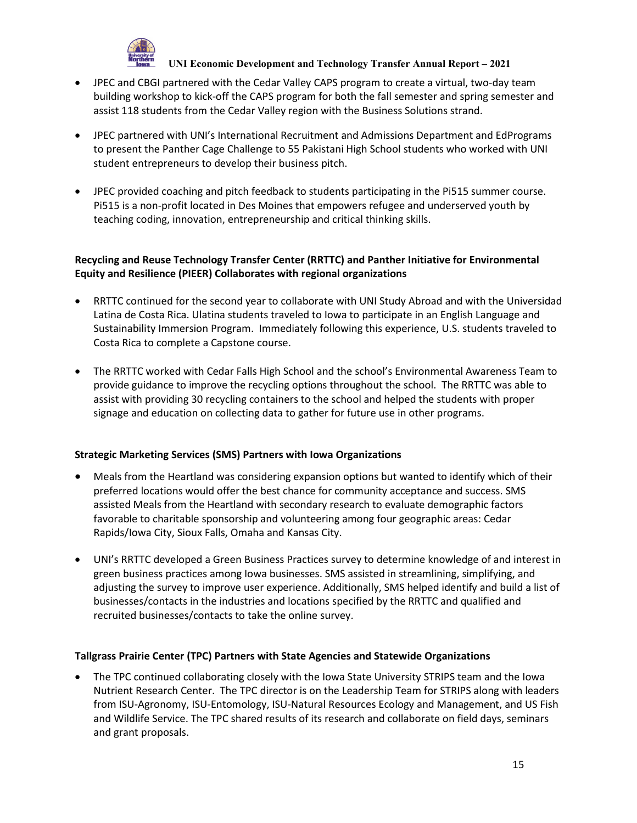

- JPEC and CBGI partnered with the Cedar Valley CAPS program to create a virtual, two-day team building workshop to kick-off the CAPS program for both the fall semester and spring semester and assist 118 students from the Cedar Valley region with the Business Solutions strand.
- JPEC partnered with UNI's International Recruitment and Admissions Department and EdPrograms to present the Panther Cage Challenge to 55 Pakistani High School students who worked with UNI student entrepreneurs to develop their business pitch.
- JPEC provided coaching and pitch feedback to students participating in the Pi515 summer course. Pi515 is a non-profit located in Des Moines that empowers refugee and underserved youth by teaching coding, innovation, entrepreneurship and critical thinking skills.

## **Recycling and Reuse Technology Transfer Center (RRTTC) and Panther Initiative for Environmental Equity and Resilience (PIEER) Collaborates with regional organizations**

- RRTTC continued for the second year to collaborate with UNI Study Abroad and with the Universidad Latina de Costa Rica. Ulatina students traveled to Iowa to participate in an English Language and Sustainability Immersion Program. Immediately following this experience, U.S. students traveled to Costa Rica to complete a Capstone course.
- The RRTTC worked with Cedar Falls High School and the school's Environmental Awareness Team to provide guidance to improve the recycling options throughout the school. The RRTTC was able to assist with providing 30 recycling containers to the school and helped the students with proper signage and education on collecting data to gather for future use in other programs.

### **Strategic Marketing Services (SMS) Partners with Iowa Organizations**

- Meals from the Heartland was considering expansion options but wanted to identify which of their preferred locations would offer the best chance for community acceptance and success. SMS assisted Meals from the Heartland with secondary research to evaluate demographic factors favorable to charitable sponsorship and volunteering among four geographic areas: Cedar Rapids/Iowa City, Sioux Falls, Omaha and Kansas City.
- UNI's RRTTC developed a Green Business Practices survey to determine knowledge of and interest in green business practices among Iowa businesses. SMS assisted in streamlining, simplifying, and adjusting the survey to improve user experience. Additionally, SMS helped identify and build a list of businesses/contacts in the industries and locations specified by the RRTTC and qualified and recruited businesses/contacts to take the online survey.

#### **Tallgrass Prairie Center (TPC) Partners with State Agencies and Statewide Organizations**

• The TPC continued collaborating closely with the Iowa State University STRIPS team and the Iowa Nutrient Research Center. The TPC director is on the Leadership Team for STRIPS along with leaders from ISU-Agronomy, ISU-Entomology, ISU-Natural Resources Ecology and Management, and US Fish and Wildlife Service. The TPC shared results of its research and collaborate on field days, seminars and grant proposals.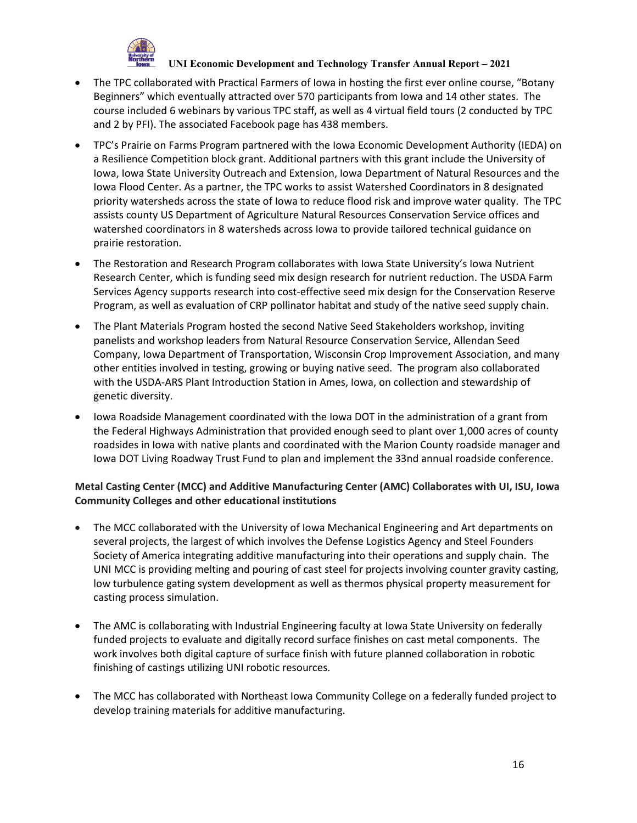

- The TPC collaborated with Practical Farmers of Iowa in hosting the first ever online course, "Botany Beginners" which eventually attracted over 570 participants from Iowa and 14 other states. The course included 6 webinars by various TPC staff, as well as 4 virtual field tours (2 conducted by TPC and 2 by PFI). The associated Facebook page has 438 members.
- TPC's Prairie on Farms Program partnered with the Iowa Economic Development Authority (IEDA) on a Resilience Competition block grant. Additional partners with this grant include the University of Iowa, Iowa State University Outreach and Extension, Iowa Department of Natural Resources and the Iowa Flood Center. As a partner, the TPC works to assist Watershed Coordinators in 8 designated priority watersheds across the state of Iowa to reduce flood risk and improve water quality. The TPC assists county US Department of Agriculture Natural Resources Conservation Service offices and watershed coordinators in 8 watersheds across Iowa to provide tailored technical guidance on prairie restoration.
- The Restoration and Research Program collaborates with Iowa State University's Iowa Nutrient Research Center, which is funding seed mix design research for nutrient reduction. The USDA Farm Services Agency supports research into cost-effective seed mix design for the Conservation Reserve Program, as well as evaluation of CRP pollinator habitat and study of the native seed supply chain.
- The Plant Materials Program hosted the second Native Seed Stakeholders workshop, inviting panelists and workshop leaders from Natural Resource Conservation Service, Allendan Seed Company, Iowa Department of Transportation, Wisconsin Crop Improvement Association, and many other entities involved in testing, growing or buying native seed. The program also collaborated with the USDA-ARS Plant Introduction Station in Ames, Iowa, on collection and stewardship of genetic diversity.
- Iowa Roadside Management coordinated with the Iowa DOT in the administration of a grant from the Federal Highways Administration that provided enough seed to plant over 1,000 acres of county roadsides in Iowa with native plants and coordinated with the Marion County roadside manager and Iowa DOT Living Roadway Trust Fund to plan and implement the 33nd annual roadside conference.

## **Metal Casting Center (MCC) and Additive Manufacturing Center (AMC) Collaborates with UI, ISU, Iowa Community Colleges and other educational institutions**

- The MCC collaborated with the University of Iowa Mechanical Engineering and Art departments on several projects, the largest of which involves the Defense Logistics Agency and Steel Founders Society of America integrating additive manufacturing into their operations and supply chain. The UNI MCC is providing melting and pouring of cast steel for projects involving counter gravity casting, low turbulence gating system development as well as thermos physical property measurement for casting process simulation.
- The AMC is collaborating with Industrial Engineering faculty at Iowa State University on federally funded projects to evaluate and digitally record surface finishes on cast metal components. The work involves both digital capture of surface finish with future planned collaboration in robotic finishing of castings utilizing UNI robotic resources.
- The MCC has collaborated with Northeast Iowa Community College on a federally funded project to develop training materials for additive manufacturing.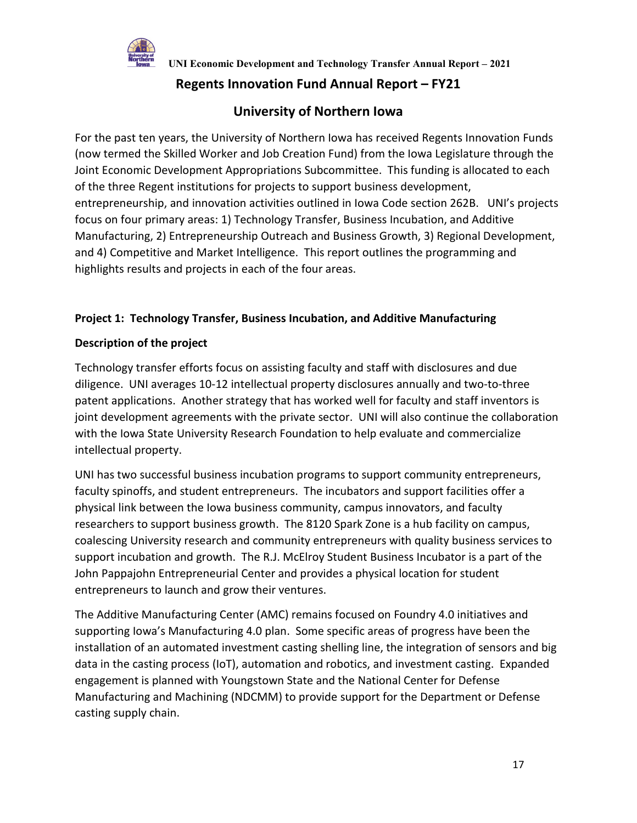

# **Regents Innovation Fund Annual Report – FY21**

# **University of Northern Iowa**

For the past ten years, the University of Northern Iowa has received Regents Innovation Funds (now termed the Skilled Worker and Job Creation Fund) from the Iowa Legislature through the Joint Economic Development Appropriations Subcommittee. This funding is allocated to each of the three Regent institutions for projects to support business development, entrepreneurship, and innovation activities outlined in Iowa Code section 262B. UNI's projects focus on four primary areas: 1) Technology Transfer, Business Incubation, and Additive Manufacturing, 2) Entrepreneurship Outreach and Business Growth, 3) Regional Development, and 4) Competitive and Market Intelligence. This report outlines the programming and highlights results and projects in each of the four areas.

## **Project 1: Technology Transfer, Business Incubation, and Additive Manufacturing**

## **Description of the project**

Technology transfer efforts focus on assisting faculty and staff with disclosures and due diligence. UNI averages 10-12 intellectual property disclosures annually and two-to-three patent applications. Another strategy that has worked well for faculty and staff inventors is joint development agreements with the private sector. UNI will also continue the collaboration with the Iowa State University Research Foundation to help evaluate and commercialize intellectual property.

UNI has two successful business incubation programs to support community entrepreneurs, faculty spinoffs, and student entrepreneurs. The incubators and support facilities offer a physical link between the Iowa business community, campus innovators, and faculty researchers to support business growth. The 8120 Spark Zone is a hub facility on campus, coalescing University research and community entrepreneurs with quality business services to support incubation and growth. The R.J. McElroy Student Business Incubator is a part of the John Pappajohn Entrepreneurial Center and provides a physical location for student entrepreneurs to launch and grow their ventures.

The Additive Manufacturing Center (AMC) remains focused on Foundry 4.0 initiatives and supporting Iowa's Manufacturing 4.0 plan. Some specific areas of progress have been the installation of an automated investment casting shelling line, the integration of sensors and big data in the casting process (IoT), automation and robotics, and investment casting. Expanded engagement is planned with Youngstown State and the National Center for Defense Manufacturing and Machining (NDCMM) to provide support for the Department or Defense casting supply chain.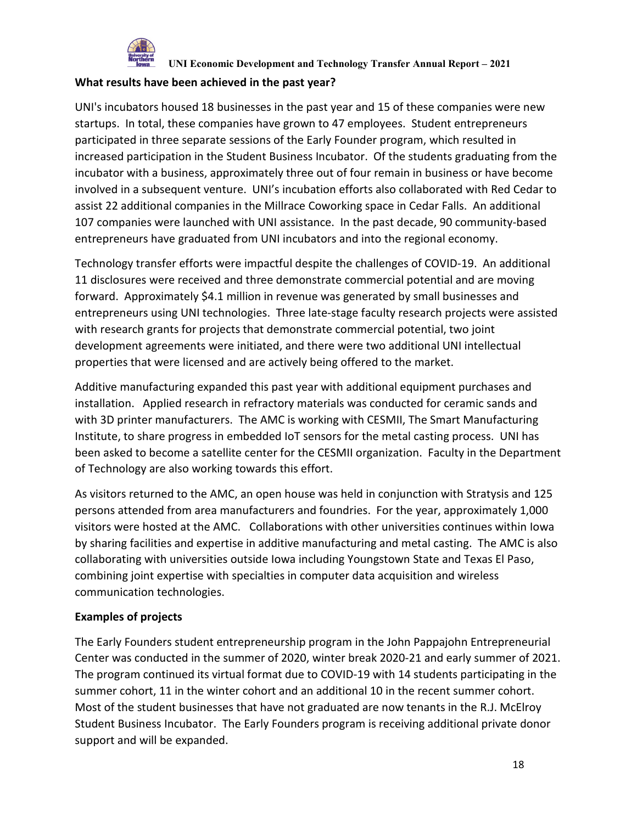

### **What results have been achieved in the past year?**

UNI's incubators housed 18 businesses in the past year and 15 of these companies were new startups. In total, these companies have grown to 47 employees. Student entrepreneurs participated in three separate sessions of the Early Founder program, which resulted in increased participation in the Student Business Incubator. Of the students graduating from the incubator with a business, approximately three out of four remain in business or have become involved in a subsequent venture. UNI's incubation efforts also collaborated with Red Cedar to assist 22 additional companies in the Millrace Coworking space in Cedar Falls. An additional 107 companies were launched with UNI assistance. In the past decade, 90 community-based entrepreneurs have graduated from UNI incubators and into the regional economy.

Technology transfer efforts were impactful despite the challenges of COVID-19. An additional 11 disclosures were received and three demonstrate commercial potential and are moving forward. Approximately \$4.1 million in revenue was generated by small businesses and entrepreneurs using UNI technologies. Three late-stage faculty research projects were assisted with research grants for projects that demonstrate commercial potential, two joint development agreements were initiated, and there were two additional UNI intellectual properties that were licensed and are actively being offered to the market.

Additive manufacturing expanded this past year with additional equipment purchases and installation. Applied research in refractory materials was conducted for ceramic sands and with 3D printer manufacturers. The AMC is working with CESMII, The Smart Manufacturing Institute, to share progress in embedded IoT sensors for the metal casting process. UNI has been asked to become a satellite center for the CESMII organization. Faculty in the Department of Technology are also working towards this effort.

As visitors returned to the AMC, an open house was held in conjunction with Stratysis and 125 persons attended from area manufacturers and foundries. For the year, approximately 1,000 visitors were hosted at the AMC. Collaborations with other universities continues within Iowa by sharing facilities and expertise in additive manufacturing and metal casting. The AMC is also collaborating with universities outside Iowa including Youngstown State and Texas El Paso, combining joint expertise with specialties in computer data acquisition and wireless communication technologies.

# **Examples of projects**

The Early Founders student entrepreneurship program in the John Pappajohn Entrepreneurial Center was conducted in the summer of 2020, winter break 2020-21 and early summer of 2021. The program continued its virtual format due to COVID-19 with 14 students participating in the summer cohort, 11 in the winter cohort and an additional 10 in the recent summer cohort. Most of the student businesses that have not graduated are now tenants in the R.J. McElroy Student Business Incubator. The Early Founders program is receiving additional private donor support and will be expanded.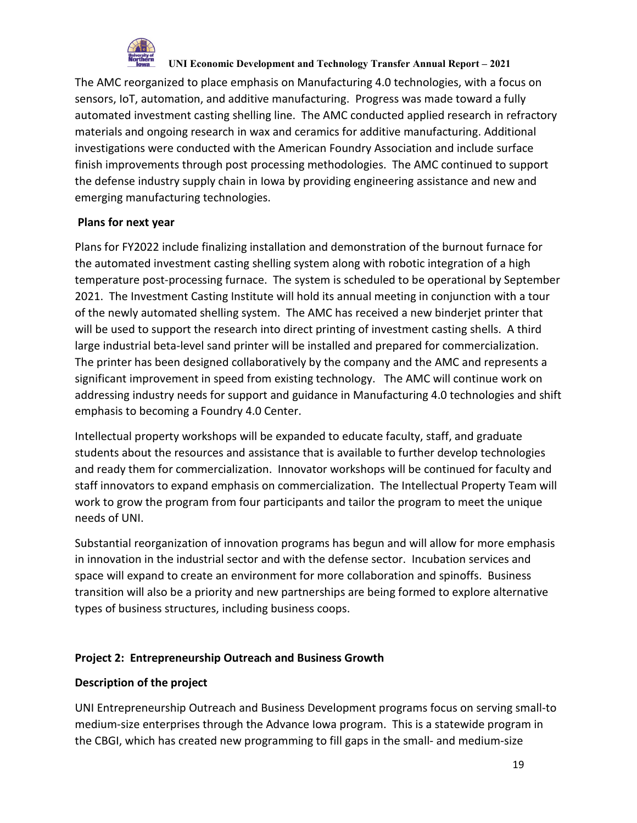

The AMC reorganized to place emphasis on Manufacturing 4.0 technologies, with a focus on sensors, IoT, automation, and additive manufacturing. Progress was made toward a fully automated investment casting shelling line. The AMC conducted applied research in refractory materials and ongoing research in wax and ceramics for additive manufacturing. Additional investigations were conducted with the American Foundry Association and include surface finish improvements through post processing methodologies. The AMC continued to support the defense industry supply chain in Iowa by providing engineering assistance and new and emerging manufacturing technologies.

# **Plans for next year**

Plans for FY2022 include finalizing installation and demonstration of the burnout furnace for the automated investment casting shelling system along with robotic integration of a high temperature post-processing furnace. The system is scheduled to be operational by September 2021. The Investment Casting Institute will hold its annual meeting in conjunction with a tour of the newly automated shelling system. The AMC has received a new binderjet printer that will be used to support the research into direct printing of investment casting shells. A third large industrial beta-level sand printer will be installed and prepared for commercialization. The printer has been designed collaboratively by the company and the AMC and represents a significant improvement in speed from existing technology. The AMC will continue work on addressing industry needs for support and guidance in Manufacturing 4.0 technologies and shift emphasis to becoming a Foundry 4.0 Center.

Intellectual property workshops will be expanded to educate faculty, staff, and graduate students about the resources and assistance that is available to further develop technologies and ready them for commercialization. Innovator workshops will be continued for faculty and staff innovators to expand emphasis on commercialization. The Intellectual Property Team will work to grow the program from four participants and tailor the program to meet the unique needs of UNI.

Substantial reorganization of innovation programs has begun and will allow for more emphasis in innovation in the industrial sector and with the defense sector. Incubation services and space will expand to create an environment for more collaboration and spinoffs. Business transition will also be a priority and new partnerships are being formed to explore alternative types of business structures, including business coops.

# **Project 2: Entrepreneurship Outreach and Business Growth**

# **Description of the project**

UNI Entrepreneurship Outreach and Business Development programs focus on serving small-to medium-size enterprises through the Advance Iowa program. This is a statewide program in the CBGI, which has created new programming to fill gaps in the small- and medium-size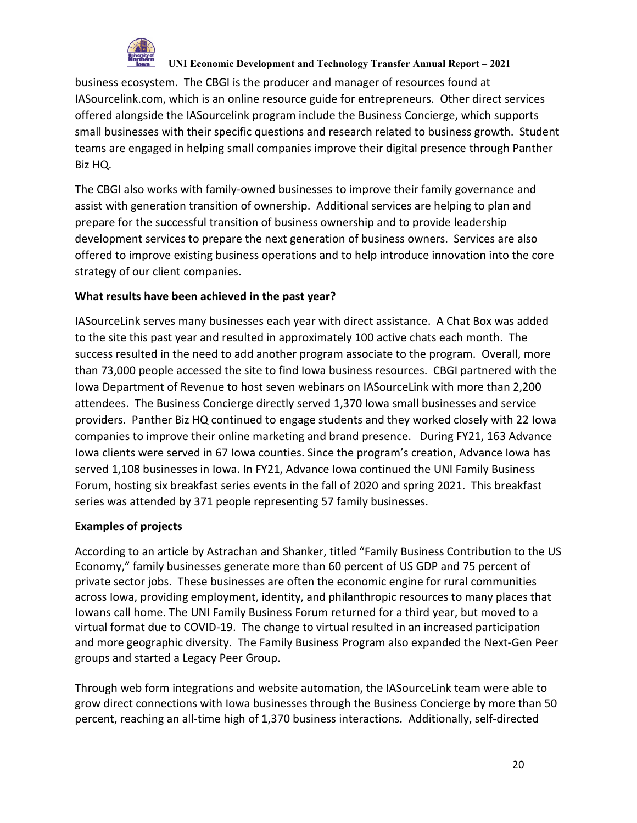

business ecosystem. The CBGI is the producer and manager of resources found at IASourcelink.com, which is an online resource guide for entrepreneurs. Other direct services offered alongside the IASourcelink program include the Business Concierge, which supports small businesses with their specific questions and research related to business growth. Student teams are engaged in helping small companies improve their digital presence through Panther Biz HQ.

The CBGI also works with family-owned businesses to improve their family governance and assist with generation transition of ownership. Additional services are helping to plan and prepare for the successful transition of business ownership and to provide leadership development services to prepare the next generation of business owners. Services are also offered to improve existing business operations and to help introduce innovation into the core strategy of our client companies.

## **What results have been achieved in the past year?**

IASourceLink serves many businesses each year with direct assistance. A Chat Box was added to the site this past year and resulted in approximately 100 active chats each month. The success resulted in the need to add another program associate to the program. Overall, more than 73,000 people accessed the site to find Iowa business resources. CBGI partnered with the Iowa Department of Revenue to host seven webinars on IASourceLink with more than 2,200 attendees. The Business Concierge directly served 1,370 Iowa small businesses and service providers. Panther Biz HQ continued to engage students and they worked closely with 22 Iowa companies to improve their online marketing and brand presence. During FY21, 163 Advance Iowa clients were served in 67 Iowa counties. Since the program's creation, Advance Iowa has served 1,108 businesses in Iowa. In FY21, Advance Iowa continued the UNI Family Business Forum, hosting six breakfast series events in the fall of 2020 and spring 2021. This breakfast series was attended by 371 people representing 57 family businesses.

### **Examples of projects**

According to an article by Astrachan and Shanker, titled "Family Business Contribution to the US Economy," family businesses generate more than 60 percent of US GDP and 75 percent of private sector jobs. These businesses are often the economic engine for rural communities across Iowa, providing employment, identity, and philanthropic resources to many places that Iowans call home. The UNI Family Business Forum returned for a third year, but moved to a virtual format due to COVID-19. The change to virtual resulted in an increased participation and more geographic diversity. The Family Business Program also expanded the Next-Gen Peer groups and started a Legacy Peer Group.

Through web form integrations and website automation, the IASourceLink team were able to grow direct connections with Iowa businesses through the Business Concierge by more than 50 percent, reaching an all-time high of 1,370 business interactions. Additionally, self-directed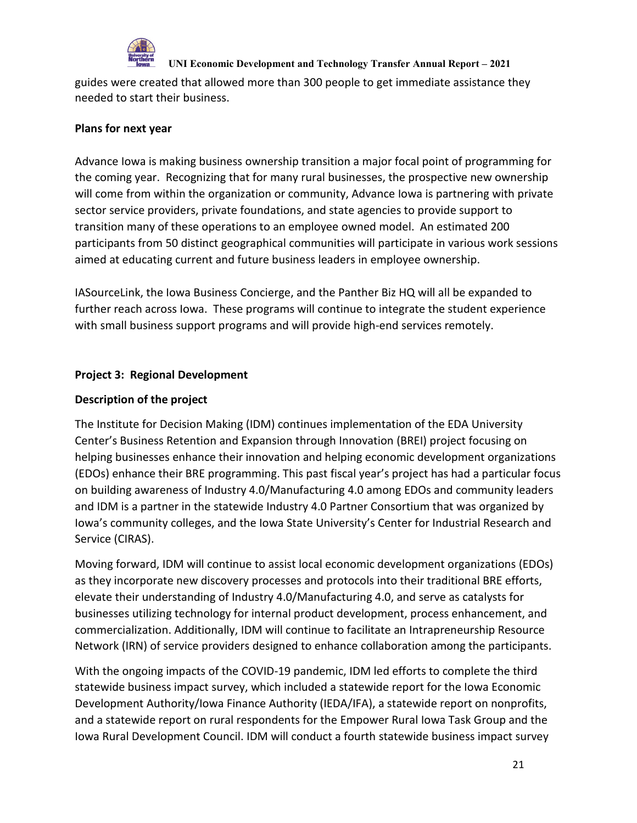

guides were created that allowed more than 300 people to get immediate assistance they needed to start their business.

## **Plans for next year**

Advance Iowa is making business ownership transition a major focal point of programming for the coming year. Recognizing that for many rural businesses, the prospective new ownership will come from within the organization or community, Advance Iowa is partnering with private sector service providers, private foundations, and state agencies to provide support to transition many of these operations to an employee owned model. An estimated 200 participants from 50 distinct geographical communities will participate in various work sessions aimed at educating current and future business leaders in employee ownership.

IASourceLink, the Iowa Business Concierge, and the Panther Biz HQ will all be expanded to further reach across Iowa. These programs will continue to integrate the student experience with small business support programs and will provide high-end services remotely.

# **Project 3: Regional Development**

# **Description of the project**

The Institute for Decision Making (IDM) continues implementation of the EDA University Center's Business Retention and Expansion through Innovation (BREI) project focusing on helping businesses enhance their innovation and helping economic development organizations (EDOs) enhance their BRE programming. This past fiscal year's project has had a particular focus on building awareness of Industry 4.0/Manufacturing 4.0 among EDOs and community leaders and IDM is a partner in the statewide Industry 4.0 Partner Consortium that was organized by Iowa's community colleges, and the Iowa State University's Center for Industrial Research and Service (CIRAS).

Moving forward, IDM will continue to assist local economic development organizations (EDOs) as they incorporate new discovery processes and protocols into their traditional BRE efforts, elevate their understanding of Industry 4.0/Manufacturing 4.0, and serve as catalysts for businesses utilizing technology for internal product development, process enhancement, and commercialization. Additionally, IDM will continue to facilitate an Intrapreneurship Resource Network (IRN) of service providers designed to enhance collaboration among the participants.

With the ongoing impacts of the COVID-19 pandemic, IDM led efforts to complete the third statewide business impact survey, which included a statewide report for the Iowa Economic Development Authority/Iowa Finance Authority (IEDA/IFA), a statewide report on nonprofits, and a statewide report on rural respondents for the Empower Rural Iowa Task Group and the Iowa Rural Development Council. IDM will conduct a fourth statewide business impact survey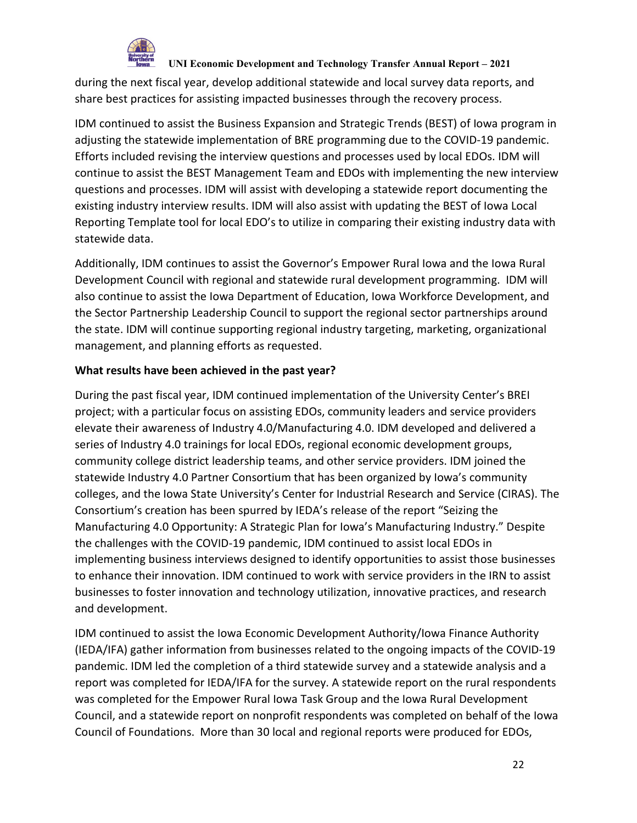

during the next fiscal year, develop additional statewide and local survey data reports, and share best practices for assisting impacted businesses through the recovery process.

IDM continued to assist the Business Expansion and Strategic Trends (BEST) of Iowa program in adjusting the statewide implementation of BRE programming due to the COVID-19 pandemic. Efforts included revising the interview questions and processes used by local EDOs. IDM will continue to assist the BEST Management Team and EDOs with implementing the new interview questions and processes. IDM will assist with developing a statewide report documenting the existing industry interview results. IDM will also assist with updating the BEST of Iowa Local Reporting Template tool for local EDO's to utilize in comparing their existing industry data with statewide data.

Additionally, IDM continues to assist the Governor's Empower Rural Iowa and the Iowa Rural Development Council with regional and statewide rural development programming. IDM will also continue to assist the Iowa Department of Education, Iowa Workforce Development, and the Sector Partnership Leadership Council to support the regional sector partnerships around the state. IDM will continue supporting regional industry targeting, marketing, organizational management, and planning efforts as requested.

## **What results have been achieved in the past year?**

During the past fiscal year, IDM continued implementation of the University Center's BREI project; with a particular focus on assisting EDOs, community leaders and service providers elevate their awareness of Industry 4.0/Manufacturing 4.0. IDM developed and delivered a series of Industry 4.0 trainings for local EDOs, regional economic development groups, community college district leadership teams, and other service providers. IDM joined the statewide Industry 4.0 Partner Consortium that has been organized by Iowa's community colleges, and the Iowa State University's Center for Industrial Research and Service (CIRAS). The Consortium's creation has been spurred by IEDA's release of the report "Seizing the Manufacturing 4.0 Opportunity: A Strategic Plan for Iowa's Manufacturing Industry." Despite the challenges with the COVID-19 pandemic, IDM continued to assist local EDOs in implementing business interviews designed to identify opportunities to assist those businesses to enhance their innovation. IDM continued to work with service providers in the IRN to assist businesses to foster innovation and technology utilization, innovative practices, and research and development.

IDM continued to assist the Iowa Economic Development Authority/Iowa Finance Authority (IEDA/IFA) gather information from businesses related to the ongoing impacts of the COVID-19 pandemic. IDM led the completion of a third statewide survey and a statewide analysis and a report was completed for IEDA/IFA for the survey. A statewide report on the rural respondents was completed for the Empower Rural Iowa Task Group and the Iowa Rural Development Council, and a statewide report on nonprofit respondents was completed on behalf of the Iowa Council of Foundations. More than 30 local and regional reports were produced for EDOs,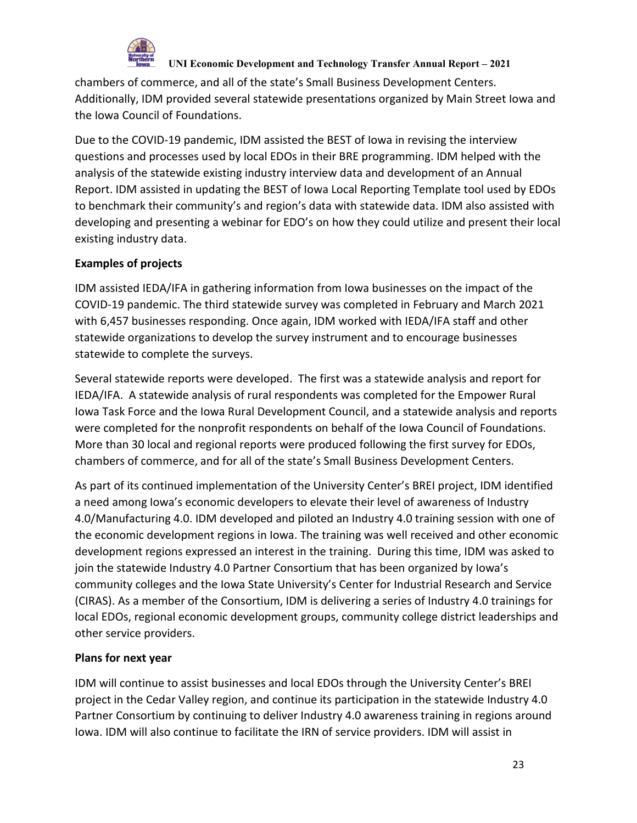

chambers of commerce, and all of the state's Small Business Development Centers. Additionally, IDM provided several statewide presentations organized by Main Street Iowa and the Iowa Council of Foundations.

Due to the COVID-19 pandemic, IDM assisted the BEST of Iowa in revising the interview questions and processes used by local EDOs in their BRE programming. IDM helped with the analysis of the statewide existing industry interview data and development of an Annual Report. IDM assisted in updating the BEST of Iowa Local Reporting Template tool used by EDOs to benchmark their community's and region's data with statewide data. IDM also assisted with developing and presenting a webinar for EDO's on how they could utilize and present their local existing industry data.

# **Examples of projects**

IDM assisted IEDA/IFA in gathering information from Iowa businesses on the impact of the COVID-19 pandemic. The third statewide survey was completed in February and March 2021 with 6,457 businesses responding. Once again, IDM worked with IEDA/IFA staff and other statewide organizations to develop the survey instrument and to encourage businesses statewide to complete the surveys.

Several statewide reports were developed. The first was a statewide analysis and report for IEDA/IFA. A statewide analysis of rural respondents was completed for the Empower Rural Iowa Task Force and the Iowa Rural Development Council, and a statewide analysis and reports were completed for the nonprofit respondents on behalf of the Iowa Council of Foundations. More than 30 local and regional reports were produced following the first survey for EDOs, chambers of commerce, and for all of the state's Small Business Development Centers.

As part of its continued implementation of the University Center's BREI project, IDM identified a need among Iowa's economic developers to elevate their level of awareness of Industry 4.0/Manufacturing 4.0. IDM developed and piloted an Industry 4.0 training session with one of the economic development regions in Iowa. The training was well received and other economic development regions expressed an interest in the training. During this time, IDM was asked to join the statewide Industry 4.0 Partner Consortium that has been organized by Iowa's community colleges and the Iowa State University's Center for Industrial Research and Service (CIRAS). As a member of the Consortium, IDM is delivering a series of Industry 4.0 trainings for local EDOs, regional economic development groups, community college district leaderships and other service providers.

# **Plans for next year**

IDM will continue to assist businesses and local EDOs through the University Center's BREI project in the Cedar Valley region, and continue its participation in the statewide Industry 4.0 Partner Consortium by continuing to deliver Industry 4.0 awareness training in regions around Iowa. IDM will also continue to facilitate the IRN of service providers. IDM will assist in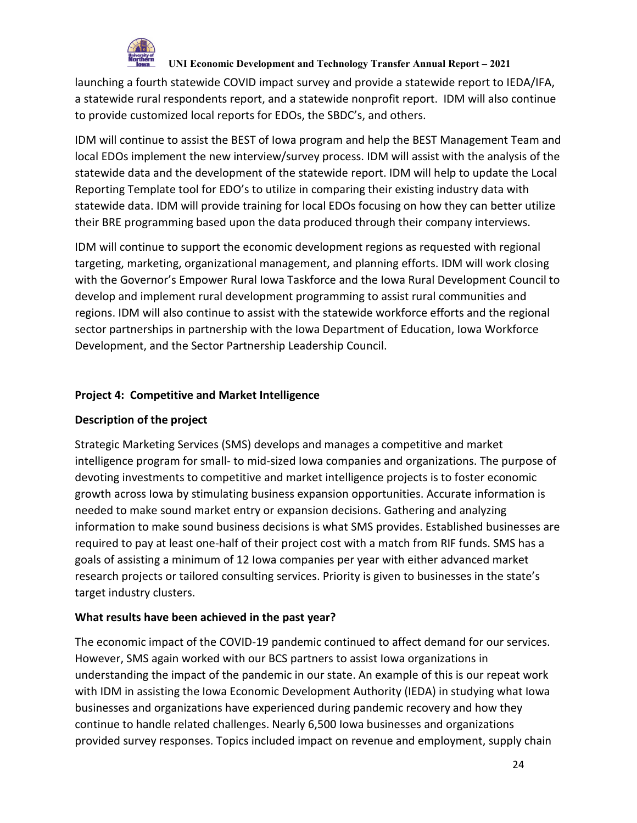

launching a fourth statewide COVID impact survey and provide a statewide report to IEDA/IFA, a statewide rural respondents report, and a statewide nonprofit report. IDM will also continue to provide customized local reports for EDOs, the SBDC's, and others.

IDM will continue to assist the BEST of Iowa program and help the BEST Management Team and local EDOs implement the new interview/survey process. IDM will assist with the analysis of the statewide data and the development of the statewide report. IDM will help to update the Local Reporting Template tool for EDO's to utilize in comparing their existing industry data with statewide data. IDM will provide training for local EDOs focusing on how they can better utilize their BRE programming based upon the data produced through their company interviews.

IDM will continue to support the economic development regions as requested with regional targeting, marketing, organizational management, and planning efforts. IDM will work closing with the Governor's Empower Rural Iowa Taskforce and the Iowa Rural Development Council to develop and implement rural development programming to assist rural communities and regions. IDM will also continue to assist with the statewide workforce efforts and the regional sector partnerships in partnership with the Iowa Department of Education, Iowa Workforce Development, and the Sector Partnership Leadership Council.

# **Project 4: Competitive and Market Intelligence**

# **Description of the project**

Strategic Marketing Services (SMS) develops and manages a competitive and market intelligence program for small- to mid-sized Iowa companies and organizations. The purpose of devoting investments to competitive and market intelligence projects is to foster economic growth across Iowa by stimulating business expansion opportunities. Accurate information is needed to make sound market entry or expansion decisions. Gathering and analyzing information to make sound business decisions is what SMS provides. Established businesses are required to pay at least one-half of their project cost with a match from RIF funds. SMS has a goals of assisting a minimum of 12 Iowa companies per year with either advanced market research projects or tailored consulting services. Priority is given to businesses in the state's target industry clusters.

# **What results have been achieved in the past year?**

The economic impact of the COVID-19 pandemic continued to affect demand for our services. However, SMS again worked with our BCS partners to assist Iowa organizations in understanding the impact of the pandemic in our state. An example of this is our repeat work with IDM in assisting the Iowa Economic Development Authority (IEDA) in studying what Iowa businesses and organizations have experienced during pandemic recovery and how they continue to handle related challenges. Nearly 6,500 Iowa businesses and organizations provided survey responses. Topics included impact on revenue and employment, supply chain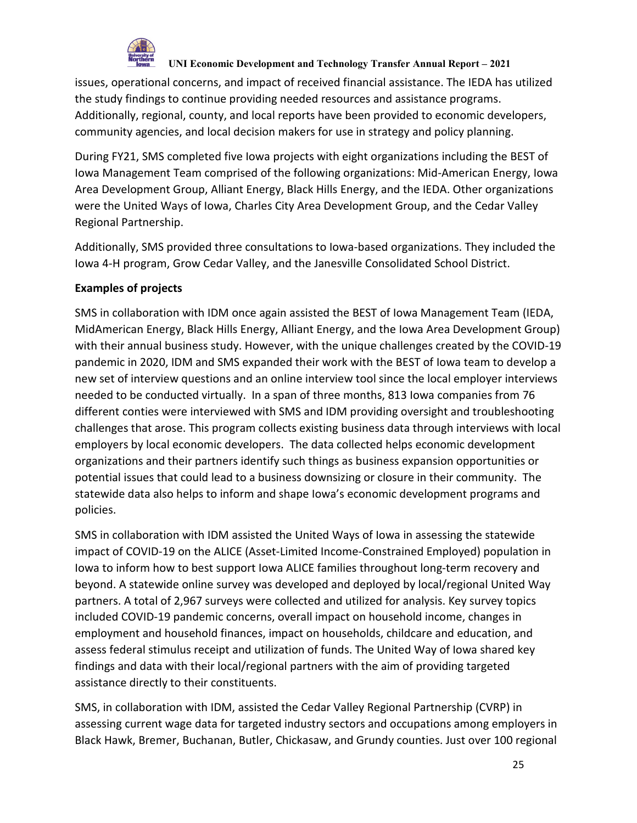

issues, operational concerns, and impact of received financial assistance. The IEDA has utilized the study findings to continue providing needed resources and assistance programs. Additionally, regional, county, and local reports have been provided to economic developers, community agencies, and local decision makers for use in strategy and policy planning.

During FY21, SMS completed five Iowa projects with eight organizations including the BEST of Iowa Management Team comprised of the following organizations: Mid-American Energy, Iowa Area Development Group, Alliant Energy, Black Hills Energy, and the IEDA. Other organizations were the United Ways of Iowa, Charles City Area Development Group, and the Cedar Valley Regional Partnership.

Additionally, SMS provided three consultations to Iowa-based organizations. They included the Iowa 4-H program, Grow Cedar Valley, and the Janesville Consolidated School District.

# **Examples of projects**

SMS in collaboration with IDM once again assisted the BEST of Iowa Management Team (IEDA, MidAmerican Energy, Black Hills Energy, Alliant Energy, and the Iowa Area Development Group) with their annual business study. However, with the unique challenges created by the COVID-19 pandemic in 2020, IDM and SMS expanded their work with the BEST of Iowa team to develop a new set of interview questions and an online interview tool since the local employer interviews needed to be conducted virtually. In a span of three months, 813 Iowa companies from 76 different conties were interviewed with SMS and IDM providing oversight and troubleshooting challenges that arose. This program collects existing business data through interviews with local employers by local economic developers. The data collected helps economic development organizations and their partners identify such things as business expansion opportunities or potential issues that could lead to a business downsizing or closure in their community. The statewide data also helps to inform and shape Iowa's economic development programs and policies.

SMS in collaboration with IDM assisted the United Ways of Iowa in assessing the statewide impact of COVID-19 on the ALICE (Asset-Limited Income-Constrained Employed) population in Iowa to inform how to best support Iowa ALICE families throughout long-term recovery and beyond. A statewide online survey was developed and deployed by local/regional United Way partners. A total of 2,967 surveys were collected and utilized for analysis. Key survey topics included COVID-19 pandemic concerns, overall impact on household income, changes in employment and household finances, impact on households, childcare and education, and assess federal stimulus receipt and utilization of funds. The United Way of Iowa shared key findings and data with their local/regional partners with the aim of providing targeted assistance directly to their constituents.

SMS, in collaboration with IDM, assisted the Cedar Valley Regional Partnership (CVRP) in assessing current wage data for targeted industry sectors and occupations among employers in Black Hawk, Bremer, Buchanan, Butler, Chickasaw, and Grundy counties. Just over 100 regional